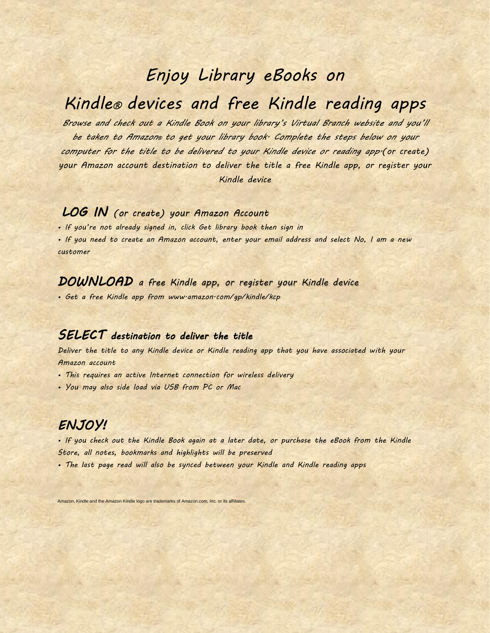# *Enjoy Library eBooks on*

# *Kindle® devices and free Kindle reading apps*

*Browse and check out a Kindle Book on your library's Virtual Branch website and you'll be taken to Amazon® to get your library book. Complete the steps below on your computer for the title to be delivered to your Kindle device or reading app.(or create) your Amazon account destination to deliver the title a free Kindle app, or register your Kindle device*

## *LOG IN (or create) your Amazon Account*

*• If you're not already signed in, click Get library book then sign in*

*• If you need to create an Amazon account, enter your email address and select No, I am a new customer*

### *DOWNLOAD a free Kindle app, or register your Kindle device*

*• Get a free Kindle app from www.amazon.com/gp/kindle/kcp*

#### *SELECT destination to deliver the title*

*Deliver the title to any Kindle device or Kindle reading app that you have associated with your Amazon account*

- *This requires an active Internet connection for wireless delivery*
- *You may also side load via USB from PC or Mac*

### *ENJOY!*

*• If you check out the Kindle Book again at a later date, or purchase the eBook from the Kindle Store, all notes, bookmarks and highlights will be preserved*

*• The last page read will also be synced between your Kindle and Kindle reading apps*

Amazon, Kindle and the Amazon Kindle logo are trademarks of Amazon.com, Inc. or its affiliates